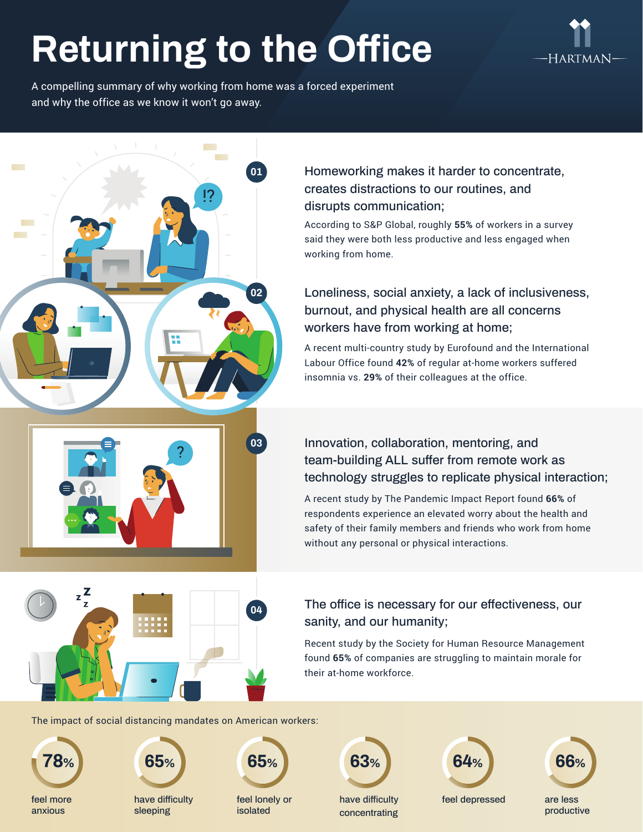## **Returning to the Office**

**01**

**02**



A compelling summary of why working from home was a forced experiment and why the office as we know it won't go away.

**Contract** 

!?

#### Homeworking makes it harder to concentrate, creates distractions to our routines, and disrupts communication;

According to S&P Global, roughly **55%** of workers in a survey said they were both less productive and less engaged when working from home.

### Loneliness, social anxiety, a lack of inclusiveness, burnout, and physical health are all concerns workers have from working at home;

A recent multi-country study by Eurofound and the International Labour Office found **42%** of regular at-home workers suffered insomnia vs. **29%** of their colleagues at the office.

### Innovation, collaboration, mentoring, and team-building ALL suffer from remote work as technology struggles to replicate physical interaction;

A recent study by The Pandemic Impact Report found **66%** of respondents experience an elevated worry about the health and safety of their family members and friends who work from home without any personal or physical interactions.

#### The office is necessary for our effectiveness, our sanity, and our humanity;

Recent study by the Society for Human Resource Management found **65%** of companies are struggling to maintain morale for their at-home workforce.

The impact of social distancing mandates on American workers:

?



**College** 

**The Co** 

anxious





have difficulty sleeping



**04**

**03**

feel lonely or isolated

**63%**

have difficulty concentrating **64%**

feel depressed

are less productive **66%**